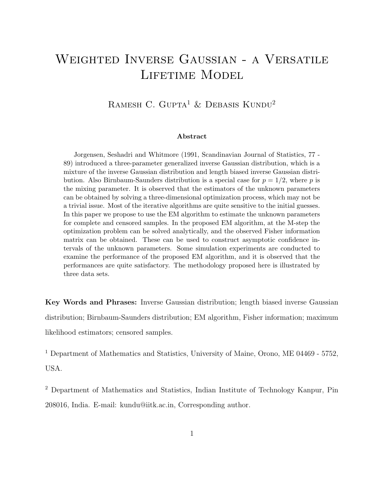# Weighted Inverse Gaussian - a Versatile LIFETIME MODEL

# RAMESH C. GUPTA<sup>1</sup> & DEBASIS KUNDU<sup>2</sup>

#### Abstract

Jorgensen, Seshadri and Whitmore (1991, Scandinavian Journal of Statistics, 77 - 89) introduced a three-parameter generalized inverse Gaussian distribution, which is a mixture of the inverse Gaussian distribution and length biased inverse Gaussian distribution. Also Birnbaum-Saunders distribution is a special case for  $p = 1/2$ , where p is the mixing parameter. It is observed that the estimators of the unknown parameters can be obtained by solving a three-dimensional optimization process, which may not be a trivial issue. Most of the iterative algorithms are quite sensitive to the initial guesses. In this paper we propose to use the EM algorithm to estimate the unknown parameters for complete and censored samples. In the proposed EM algorithm, at the M-step the optimization problem can be solved analytically, and the observed Fisher information matrix can be obtained. These can be used to construct asymptotic confidence intervals of the unknown parameters. Some simulation experiments are conducted to examine the performance of the proposed EM algorithm, and it is observed that the performances are quite satisfactory. The methodology proposed here is illustrated by three data sets.

Key Words and Phrases: Inverse Gaussian distribution; length biased inverse Gaussian distribution; Birnbaum-Saunders distribution; EM algorithm, Fisher information; maximum likelihood estimators; censored samples.

<sup>1</sup> Department of Mathematics and Statistics, University of Maine, Orono, ME 04469 - 5752, USA.

<sup>2</sup> Department of Mathematics and Statistics, Indian Institute of Technology Kanpur, Pin 208016, India. E-mail: kundu@iitk.ac.in, Corresponding author.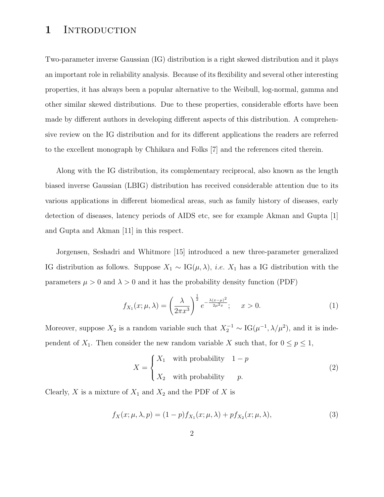# 1 INTRODUCTION

Two-parameter inverse Gaussian (IG) distribution is a right skewed distribution and it plays an important role in reliability analysis. Because of its flexibility and several other interesting properties, it has always been a popular alternative to the Weibull, log-normal, gamma and other similar skewed distributions. Due to these properties, considerable efforts have been made by different authors in developing different aspects of this distribution. A comprehensive review on the IG distribution and for its different applications the readers are referred to the excellent monograph by Chhikara and Folks [7] and the references cited therein.

Along with the IG distribution, its complementary reciprocal, also known as the length biased inverse Gaussian (LBIG) distribution has received considerable attention due to its various applications in different biomedical areas, such as family history of diseases, early detection of diseases, latency periods of AIDS etc, see for example Akman and Gupta [1] and Gupta and Akman [11] in this respect.

Jorgensen, Seshadri and Whitmore [15] introduced a new three-parameter generalized IG distribution as follows. Suppose  $X_1 \sim \text{IG}(\mu, \lambda)$ , *i.e.*  $X_1$  has a IG distribution with the parameters  $\mu > 0$  and  $\lambda > 0$  and it has the probability density function (PDF)

$$
f_{X_1}(x; \mu, \lambda) = \left(\frac{\lambda}{2\pi x^3}\right)^{\frac{1}{2}} e^{-\frac{\lambda(x-\mu)^2}{2\mu^2 x}}; \quad x > 0.
$$
 (1)

Moreover, suppose  $X_2$  is a random variable such that  $X_2^{-1} \sim IG(\mu^{-1}, \lambda/\mu^2)$ , and it is independent of  $X_1$ . Then consider the new random variable X such that, for  $0 \le p \le 1$ ,

$$
X = \begin{cases} X_1 & \text{with probability} \quad 1 - p \\ X_2 & \text{with probability} \quad p. \end{cases} \tag{2}
$$

Clearly,  $X$  is a mixture of  $X_1$  and  $X_2$  and the PDF of  $X$  is

$$
f_X(x; \mu, \lambda, p) = (1 - p)f_{X_1}(x; \mu, \lambda) + pf_{X_2}(x; \mu, \lambda),
$$
\n(3)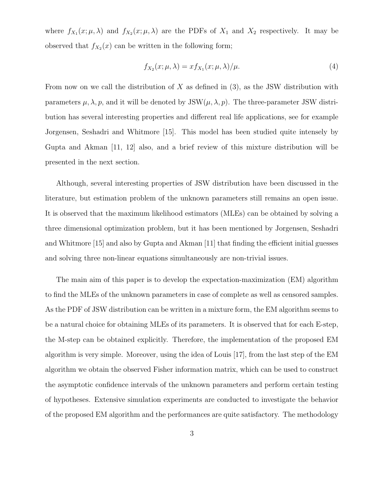where  $f_{X_1}(x; \mu, \lambda)$  and  $f_{X_2}(x; \mu, \lambda)$  are the PDFs of  $X_1$  and  $X_2$  respectively. It may be observed that  $f_{X_2}(x)$  can be written in the following form;

$$
f_{X_2}(x; \mu, \lambda) = x f_{X_1}(x; \mu, \lambda) / \mu.
$$
\n(4)

From now on we call the distribution of  $X$  as defined in (3), as the JSW distribution with parameters  $\mu$ ,  $\lambda$ ,  $p$ , and it will be denoted by JSW( $\mu$ ,  $\lambda$ ,  $p$ ). The three-parameter JSW distribution has several interesting properties and different real life applications, see for example Jorgensen, Seshadri and Whitmore [15]. This model has been studied quite intensely by Gupta and Akman [11, 12] also, and a brief review of this mixture distribution will be presented in the next section.

Although, several interesting properties of JSW distribution have been discussed in the literature, but estimation problem of the unknown parameters still remains an open issue. It is observed that the maximum likelihood estimators (MLEs) can be obtained by solving a three dimensional optimization problem, but it has been mentioned by Jorgensen, Seshadri and Whitmore [15] and also by Gupta and Akman [11] that finding the efficient initial guesses and solving three non-linear equations simultaneously are non-trivial issues.

The main aim of this paper is to develop the expectation-maximization (EM) algorithm to find the MLEs of the unknown parameters in case of complete as well as censored samples. As the PDF of JSW distribution can be written in a mixture form, the EM algorithm seems to be a natural choice for obtaining MLEs of its parameters. It is observed that for each E-step, the M-step can be obtained explicitly. Therefore, the implementation of the proposed EM algorithm is very simple. Moreover, using the idea of Louis [17], from the last step of the EM algorithm we obtain the observed Fisher information matrix, which can be used to construct the asymptotic confidence intervals of the unknown parameters and perform certain testing of hypotheses. Extensive simulation experiments are conducted to investigate the behavior of the proposed EM algorithm and the performances are quite satisfactory. The methodology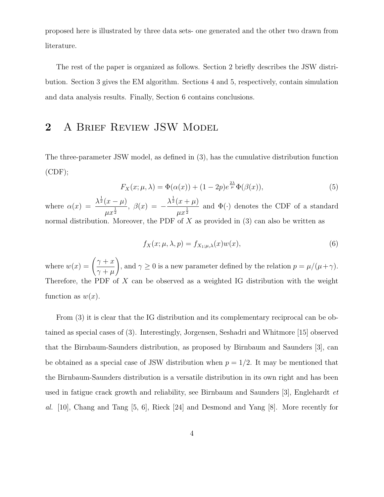proposed here is illustrated by three data sets- one generated and the other two drawn from literature.

The rest of the paper is organized as follows. Section 2 briefly describes the JSW distribution. Section 3 gives the EM algorithm. Sections 4 and 5, respectively, contain simulation and data analysis results. Finally, Section 6 contains conclusions.

# 2 A BRIEF REVIEW JSW MODEL

The three-parameter JSW model, as defined in (3), has the cumulative distribution function  $(CDF);$ 

$$
F_X(x; \mu, \lambda) = \Phi(\alpha(x)) + (1 - 2p)e^{\frac{2\lambda}{\mu}}\Phi(\beta(x)),\tag{5}
$$

where  $\alpha(x) =$  $\lambda^{\frac{1}{2}}(x-\mu)$  $\frac{d^{(x)}(x)}{dx^{\frac{1}{2}}}$ ,  $\beta(x) = \lambda^{\frac{1}{2}}(x+\mu)$  $\frac{1}{\mu x^{\frac{1}{2}}}$  and  $\Phi(\cdot)$  denotes the CDF of a standard normal distribution. Moreover, the PDF of X as provided in  $(3)$  can also be written as

$$
f_X(x; \mu, \lambda, p) = f_{X_1; \mu, \lambda}(x) w(x), \qquad (6)
$$

where  $w(x) =$  $\int \gamma + x$  $\gamma + \mu$ ! , and  $\gamma \ge 0$  is a new parameter defined by the relation  $p = \mu/(\mu + \gamma)$ . Therefore, the PDF of X can be observed as a weighted IG distribution with the weight function as  $w(x)$ .

From (3) it is clear that the IG distribution and its complementary reciprocal can be obtained as special cases of (3). Interestingly, Jorgensen, Seshadri and Whitmore [15] observed that the Birnbaum-Saunders distribution, as proposed by Birnbaum and Saunders [3], can be obtained as a special case of JSW distribution when  $p = 1/2$ . It may be mentioned that the Birnbaum-Saunders distribution is a versatile distribution in its own right and has been used in fatigue crack growth and reliability, see Birnbaum and Saunders [3], Englehardt et al. [10], Chang and Tang [5, 6], Rieck [24] and Desmond and Yang [8]. More recently for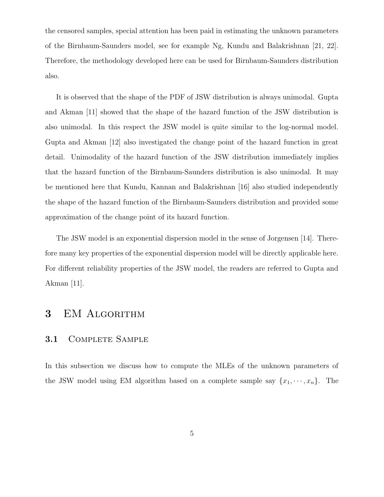the censored samples, special attention has been paid in estimating the unknown parameters of the Birnbaum-Saunders model, see for example Ng, Kundu and Balakrishnan [21, 22]. Therefore, the methodology developed here can be used for Birnbaum-Saunders distribution also.

It is observed that the shape of the PDF of JSW distribution is always unimodal. Gupta and Akman [11] showed that the shape of the hazard function of the JSW distribution is also unimodal. In this respect the JSW model is quite similar to the log-normal model. Gupta and Akman [12] also investigated the change point of the hazard function in great detail. Unimodality of the hazard function of the JSW distribution immediately implies that the hazard function of the Birnbaum-Saunders distribution is also unimodal. It may be mentioned here that Kundu, Kannan and Balakrishnan [16] also studied independently the shape of the hazard function of the Birnbaum-Saunders distribution and provided some approximation of the change point of its hazard function.

The JSW model is an exponential dispersion model in the sense of Jorgensen [14]. Therefore many key properties of the exponential dispersion model will be directly applicable here. For different reliability properties of the JSW model, the readers are referred to Gupta and Akman [11].

# 3 EM ALGORITHM

### 3.1 COMPLETE SAMPLE

In this subsection we discuss how to compute the MLEs of the unknown parameters of the JSW model using EM algorithm based on a complete sample say  $\{x_1, \dots, x_n\}$ . The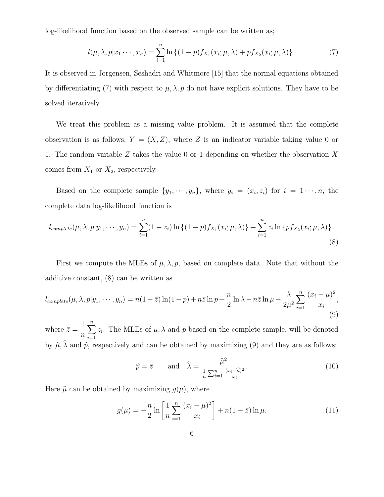log-likelihood function based on the observed sample can be written as;

$$
l(\mu, \lambda, p | x_1 \cdots, x_n) = \sum_{i=1}^n \ln \left\{ (1-p) f_{X_1}(x_i; \mu, \lambda) + p f_{X_2}(x_i; \mu, \lambda) \right\}.
$$
 (7)

It is observed in Jorgensen, Seshadri and Whitmore [15] that the normal equations obtained by differentiating (7) with respect to  $\mu$ ,  $\lambda$ ,  $p$  do not have explicit solutions. They have to be solved iteratively.

We treat this problem as a missing value problem. It is assumed that the complete observation is as follows;  $Y = (X, Z)$ , where Z is an indicator variable taking value 0 or 1. The random variable Z takes the value 0 or 1 depending on whether the observation X comes from  $X_1$  or  $X_2$ , respectively.

Based on the complete sample  $\{y_1, \dots, y_n\}$ , where  $y_i = (x_i, z_i)$  for  $i = 1, \dots, n$ , the complete data log-likelihood function is

$$
l_{complete}(\mu, \lambda, p | y_1, \cdots, y_n) = \sum_{i=1}^n (1 - z_i) \ln \left\{ (1 - p) f_{X_1}(x_i; \mu, \lambda) \right\} + \sum_{i=1}^n z_i \ln \left\{ p f_{X_2}(x_i; \mu, \lambda) \right\}.
$$
\n(8)

First we compute the MLEs of  $\mu$ ,  $\lambda$ ,  $p$ , based on complete data. Note that without the additive constant, (8) can be written as

$$
l_{complete}(\mu,\lambda,p|y_1,\cdots,y_n) = n(1-\bar{z})\ln(1-p) + n\bar{z}\ln p + \frac{n}{2}\ln\lambda - n\bar{z}\ln\mu - \frac{\lambda}{2\mu^2}\sum_{i=1}^n\frac{(x_i-\mu)^2}{x_i},\tag{9}
$$

where  $\bar{z} =$ 1  $\overline{n}$  $\sum_{n=1}^{\infty}$  $i=1$  $z_i$ . The MLEs of  $\mu$ ,  $\lambda$  and  $p$  based on the complete sample, will be denoted by  $\hat{\mu}, \lambda$  and  $\hat{p}$ , respectively and can be obtained by maximizing (9) and they are as follows;

$$
\hat{p} = \bar{z} \quad \text{and} \quad \hat{\lambda} = \frac{\hat{\mu}^2}{\frac{1}{n} \sum_{i=1}^n \frac{(x_i - \hat{\mu})^2}{x_i}}.
$$
\n(10)

Here  $\hat{\mu}$  can be obtained by maximizing  $g(\mu)$ , where

$$
g(\mu) = -\frac{n}{2} \ln \left[ \frac{1}{n} \sum_{i=1}^{n} \frac{(x_i - \mu)^2}{x_i} \right] + n(1 - \bar{z}) \ln \mu.
$$
 (11)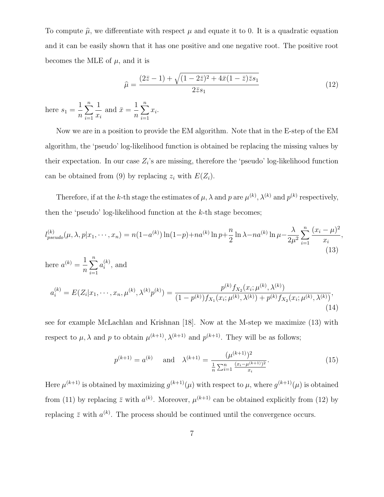To compute  $\hat{\mu}$ , we differentiate with respect  $\mu$  and equate it to 0. It is a quadratic equation and it can be easily shown that it has one positive and one negative root. The positive root becomes the MLE of  $\mu$ , and it is

$$
\hat{\mu} = \frac{(2\bar{z} - 1) + \sqrt{(1 - 2\bar{z})^2 + 4\bar{x}(1 - \bar{z})\bar{z}s_1}}{2\bar{z}s_1}
$$
(12)

here  $s_1 =$ 1 n  $\sum_{n=1}^{\infty}$  $i=1$ 1  $x_i$ and  $\bar{x} =$ 1 n  $\sum_{n=1}^{\infty}$  $i=1$  $x_i$ .

Now we are in a position to provide the EM algorithm. Note that in the E-step of the EM algorithm, the 'pseudo' log-likelihood function is obtained be replacing the missing values by their expectation. In our case  $Z_i$ 's are missing, therefore the 'pseudo' log-likelihood function can be obtained from (9) by replacing  $z_i$  with  $E(Z_i)$ .

Therefore, if at the k-th stage the estimates of  $\mu$ ,  $\lambda$  and  $p$  are  $\mu^{(k)}$ ,  $\lambda^{(k)}$  and  $p^{(k)}$  respectively, then the 'pseudo' log-likelihood function at the  $k$ -th stage becomes;

$$
l_{pseudo}^{(k)}(\mu,\lambda,p|x_1,\cdots,x_n) = n(1-a^{(k)})\ln(1-p) + na^{(k)}\ln p + \frac{n}{2}\ln\lambda - na^{(k)}\ln\mu - \frac{\lambda}{2\mu^2}\sum_{i=1}^n\frac{(x_i-\mu)^2}{x_i},
$$
\n(13)

here 
$$
a^{(k)} = \frac{1}{n} \sum_{i=1}^{n} a_i^{(k)}
$$
, and  
\n
$$
a_i^{(k)} = E(Z_i|x_1, \dots, x_n, \mu^{(k)}, \lambda^{(k)} p^{(k)}) = \frac{p^{(k)} f_{X_2}(x_i; \mu^{(k)}, \lambda^{(k)})}{(1 - p^{(k)}) f_{X_1}(x_i; \mu^{(k)}, \lambda^{(k)}) + p^{(k)} f_{X_2}(x_i; \mu^{(k)}, \lambda^{(k)})},
$$
\n(14)

see for example McLachlan and Krishnan [18]. Now at the M-step we maximize (13) with respect to  $\mu$ ,  $\lambda$  and  $p$  to obtain  $\mu^{(k+1)}$ ,  $\lambda^{(k+1)}$  and  $p^{(k+1)}$ . They will be as follows;

$$
p^{(k+1)} = a^{(k)} \quad \text{and} \quad \lambda^{(k+1)} = \frac{(\mu^{(k+1)})^2}{\frac{1}{n} \sum_{i=1}^n \frac{(x_i - \mu^{(k+1)})^2}{x_i}}.
$$
 (15)

Here  $\mu^{(k+1)}$  is obtained by maximizing  $g^{(k+1)}(\mu)$  with respect to  $\mu$ , where  $g^{(k+1)}(\mu)$  is obtained from (11) by replacing  $\bar{z}$  with  $a^{(k)}$ . Moreover,  $\mu^{(k+1)}$  can be obtained explicitly from (12) by replacing  $\bar{z}$  with  $a^{(k)}$ . The process should be continued until the convergence occurs.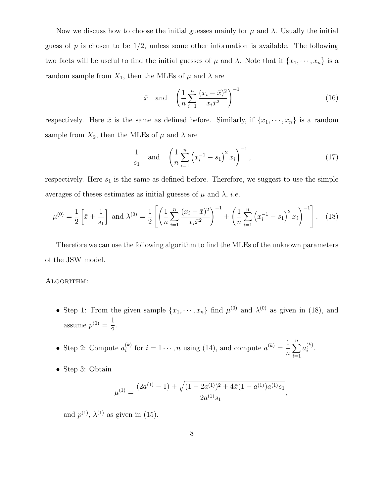Now we discuss how to choose the initial guesses mainly for  $\mu$  and  $\lambda$ . Usually the initial guess of  $p$  is chosen to be  $1/2$ , unless some other information is available. The following two facts will be useful to find the initial guesses of  $\mu$  and  $\lambda$ . Note that if  $\{x_1, \dots, x_n\}$  is a random sample from  $X_1$ , then the MLEs of  $\mu$  and  $\lambda$  are

$$
\bar{x} \quad \text{and} \quad \left(\frac{1}{n}\sum_{i=1}^{n}\frac{(x_i-\bar{x})^2}{x_i\bar{x}^2}\right)^{-1} \tag{16}
$$

respectively. Here  $\bar{x}$  is the same as defined before. Similarly, if  $\{x_1, \dots, x_n\}$  is a random sample from  $X_2$ , then the MLEs of  $\mu$  and  $\lambda$  are

$$
\frac{1}{s_1} \quad \text{and} \quad \left(\frac{1}{n}\sum_{i=1}^n \left(x_i^{-1} - s_1\right)^2 x_i\right)^{-1},\tag{17}
$$

respectively. Here  $s_1$  is the same as defined before. Therefore, we suggest to use the simple averages of theses estimates as initial guesses of  $\mu$  and  $\lambda$ , *i.e.* 

$$
\mu^{(0)} = \frac{1}{2} \left[ \bar{x} + \frac{1}{s_1} \right] \text{ and } \lambda^{(0)} = \frac{1}{2} \left[ \left( \frac{1}{n} \sum_{i=1}^n \frac{(x_i - \bar{x})^2}{x_i \bar{x}^2} \right)^{-1} + \left( \frac{1}{n} \sum_{i=1}^n \left( x_i^{-1} - s_1 \right)^2 x_i \right)^{-1} \right]. \tag{18}
$$

Therefore we can use the following algorithm to find the MLEs of the unknown parameters of the JSW model.

#### ALGORITHM:

- Step 1: From the given sample  $\{x_1, \dots, x_n\}$  find  $\mu^{(0)}$  and  $\lambda^{(0)}$  as given in (18), and assume  $p^{(0)} = \frac{1}{2}$ 2 .
- Step 2: Compute  $a_i^{(k)}$  $i^{(k)}$  for  $i = 1 \cdots, n$  using (14), and compute  $a^{(k)} = \frac{1}{n}$  $\overline{n}$  $\sum_{n=1}^{\infty}$  $i=1$  $a_i^{(k)}$  $\binom{\kappa}{i}$ .
- Step 3: Obtain

$$
\mu^{(1)} = \frac{(2a^{(1)} - 1) + \sqrt{(1 - 2a^{(1)})^2 + 4\bar{x}(1 - a^{(1)})a^{(1)}s_1}}{2a^{(1)}s_1},
$$

and  $p^{(1)}$ ,  $\lambda^{(1)}$  as given in (15).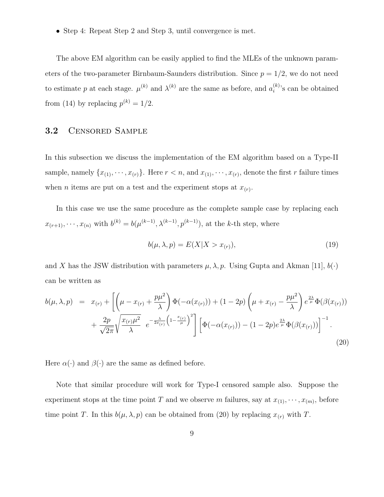• Step 4: Repeat Step 2 and Step 3, until convergence is met.

The above EM algorithm can be easily applied to find the MLEs of the unknown parameters of the two-parameter Birnbaum-Saunders distribution. Since  $p = 1/2$ , we do not need to estimate p at each stage.  $\mu^{(k)}$  and  $\lambda^{(k)}$  are the same as before, and  $a_i^{(k)}$  $i^{(k)}$ 's can be obtained from (14) by replacing  $p^{(k)} = 1/2$ .

### 3.2 Censored Sample

In this subsection we discuss the implementation of the EM algorithm based on a Type-II sample, namely  $\{x_{(1)}, \dots, x_{(r)}\}$ . Here  $r < n$ , and  $x_{(1)}, \dots, x_{(r)}$ , denote the first r failure times when *n* items are put on a test and the experiment stops at  $x<sub>(r)</sub>$ .

In this case we use the same procedure as the complete sample case by replacing each  $x_{(r+1)}, \dots, x_{(n)}$  with  $b^{(k)} = b(\mu^{(k-1)}, \lambda^{(k-1)}, p^{(k-1)})$ , at the k-th step, where

$$
b(\mu, \lambda, p) = E(X|X > x(r)), \qquad (19)
$$

and X has the JSW distribution with parameters  $\mu$ ,  $\lambda$ ,  $p$ . Using Gupta and Akman [11],  $b(\cdot)$ can be written as

$$
b(\mu,\lambda,p) = x_{(r)} + \left[ \left( \mu - x_{(r)} + \frac{p\mu^2}{\lambda} \right) \Phi(-\alpha(x_{(r)})) + (1 - 2p) \left( \mu + x_{(r)} - \frac{p\mu^2}{\lambda} \right) e^{\frac{2\lambda}{\mu}} \Phi(\beta(x_{(r)})) + \frac{2p}{\sqrt{2\pi}} \sqrt{\frac{x_{(r)}\mu^2}{\lambda}} e^{-\frac{\lambda}{2x_{(r)}} \left( 1 - \frac{x_{(r)}}{\mu} \right)^2} \right] \left[ \Phi(-\alpha(x_{(r)})) - (1 - 2p) e^{\frac{2\lambda}{\mu}} \Phi(\beta(x_{(r)})) \right]^{-1}.
$$
\n(20)

Here  $\alpha(\cdot)$  and  $\beta(\cdot)$  are the same as defined before.

Note that similar procedure will work for Type-I censored sample also. Suppose the experiment stops at the time point T and we observe m failures, say at  $x_{(1)}, \dots, x_{(m)}$ , before time point T. In this  $b(\mu, \lambda, p)$  can be obtained from (20) by replacing  $x_{(r)}$  with T.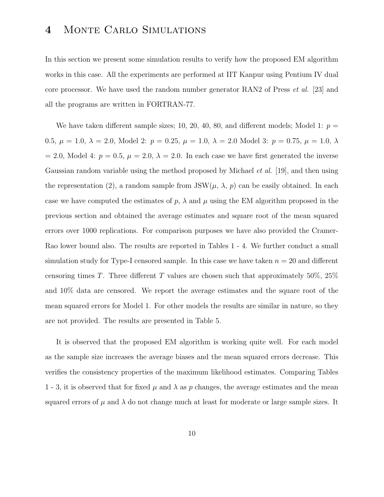# 4 Monte Carlo Simulations

In this section we present some simulation results to verify how the proposed EM algorithm works in this case. All the experiments are performed at IIT Kanpur using Pentium IV dual core processor. We have used the random number generator RAN2 of Press et al. [23] and all the programs are written in FORTRAN-77.

We have taken different sample sizes; 10, 20, 40, 80, and different models; Model 1:  $p =$ 0.5,  $\mu = 1.0, \lambda = 2.0, \text{ Model } 2: p = 0.25, \mu = 1.0, \lambda = 2.0 \text{ Model } 3: p = 0.75, \mu = 1.0, \lambda$ = 2.0, Model 4:  $p = 0.5$ ,  $\mu = 2.0$ ,  $\lambda = 2.0$ . In each case we have first generated the inverse Gaussian random variable using the method proposed by Michael *et al.* [19], and then using the representation (2), a random sample from  $JSW(\mu, \lambda, p)$  can be easily obtained. In each case we have computed the estimates of  $p$ ,  $\lambda$  and  $\mu$  using the EM algorithm proposed in the previous section and obtained the average estimates and square root of the mean squared errors over 1000 replications. For comparison purposes we have also provided the Cramer-Rao lower bound also. The results are reported in Tables 1 - 4. We further conduct a small simulation study for Type-I censored sample. In this case we have taken  $n = 20$  and different censoring times T. Three different T values are chosen such that approximately 50%,  $25\%$ and 10% data are censored. We report the average estimates and the square root of the mean squared errors for Model 1. For other models the results are similar in nature, so they are not provided. The results are presented in Table 5.

It is observed that the proposed EM algorithm is working quite well. For each model as the sample size increases the average biases and the mean squared errors decrease. This verifies the consistency properties of the maximum likelihood estimates. Comparing Tables 1 - 3, it is observed that for fixed  $\mu$  and  $\lambda$  as p changes, the average estimates and the mean squared errors of  $\mu$  and  $\lambda$  do not change much at least for moderate or large sample sizes. It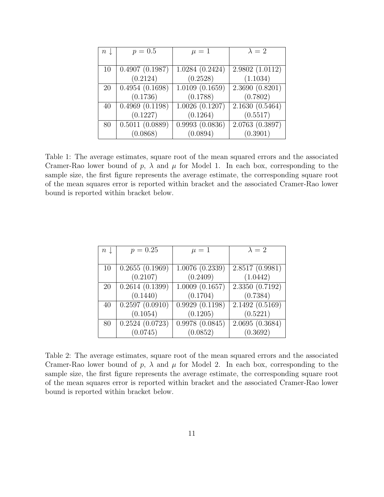| $n\downarrow$ | $p = 0.5$                      | $\mu=1$        | $\lambda=2$    |  |
|---------------|--------------------------------|----------------|----------------|--|
|               |                                |                |                |  |
| 10            | 0.4907(0.1987)                 | 1.0284(0.2424) | 2.9802(1.0112) |  |
|               | (0.2124)                       | (0.2528)       | (1.1034)       |  |
| 20            | 0.4954(0.1698)                 | 1.0109(0.1659) | 2.3690(0.8201) |  |
|               | (0.1736)                       | (0.1788)       | (0.7802)       |  |
| 40            | $0.4969\ (0.1198)$             | 1.0026(0.1207) | 2.1630(0.5464) |  |
|               | (0.1227)                       | (0.1264)       | (0.5517)       |  |
| 80            | $0.501\overline{1}$ $(0.0889)$ | 0.9993(0.0836) | 2.0763(0.3897) |  |
|               | (0.0868)                       | (0.0894)       | (0.3901)       |  |

Table 1: The average estimates, square root of the mean squared errors and the associated Cramer-Rao lower bound of p,  $\lambda$  and  $\mu$  for Model 1. In each box, corresponding to the sample size, the first figure represents the average estimate, the corresponding square root of the mean squares error is reported within bracket and the associated Cramer-Rao lower bound is reported within bracket below.

| $n\downarrow$ | $p = 0.25$                   | $\mu=1$        | $\lambda = 2$  |  |
|---------------|------------------------------|----------------|----------------|--|
|               |                              |                |                |  |
| 10            | 0.2655(0.1969)               | 1.0076(0.2339) | 2.8517(0.9981) |  |
|               | (0.2107)                     | (0.2409)       | (1.0442)       |  |
| <b>20</b>     | $\overline{0.2614 (0.1399)}$ | 1.0009(0.1657) | 2.3350(0.7192) |  |
|               | (0.1440)                     | (0.1704)       | (0.7384)       |  |
| 40            | 0.2597(0.0910)               | 0.9929(0.1198) | 2.1492(0.5169) |  |
|               | (0.1054)                     | (0.1205)       | (0.5221)       |  |
| 80            | 0.2524(0.0723)               | 0.9978(0.0845) | 2.0695(0.3684) |  |
|               | (0.0745)                     | (0.0852)       | (0.3692)       |  |

Table 2: The average estimates, square root of the mean squared errors and the associated Cramer-Rao lower bound of p,  $\lambda$  and  $\mu$  for Model 2. In each box, corresponding to the sample size, the first figure represents the average estimate, the corresponding square root of the mean squares error is reported within bracket and the associated Cramer-Rao lower bound is reported within bracket below.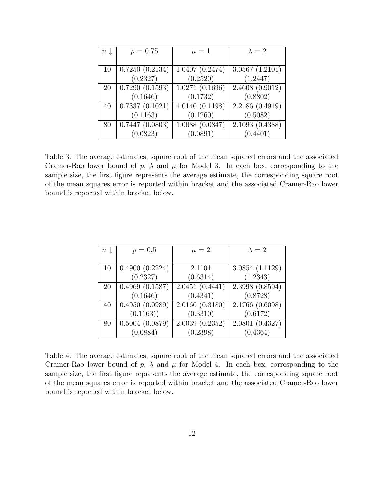| $n\downarrow$ | $p = 0.75$                     | $\mu=1$        | $\lambda = 2$  |  |
|---------------|--------------------------------|----------------|----------------|--|
|               |                                |                |                |  |
| 10            | 0.7250(0.2134)                 | 1.0407(0.2474) | 3.0567(1.2101) |  |
|               | (0.2327)                       | (0.2520)       | (1.2447)       |  |
| 20            | 0.7290(0.1593)                 | 1.0271(0.1696) | 2.4608(0.9012) |  |
|               | (0.1646)                       | (0.1732)       | (0.8802)       |  |
| 40            | $\overline{0.7337(0.1021)}$    | 1.0140(0.1198) | 2.2186(0.4919) |  |
|               | (0.1163)                       | (0.1260)       | (0.5082)       |  |
| 80            | $0.74\overline{47}$ $(0.0803)$ | 1.0088(0.0847) | 2.1093(0.4388) |  |
|               | (0.0823)                       | (0.0891)       | (0.4401)       |  |

Table 3: The average estimates, square root of the mean squared errors and the associated Cramer-Rao lower bound of p,  $\lambda$  and  $\mu$  for Model 3. In each box, corresponding to the sample size, the first figure represents the average estimate, the corresponding square root of the mean squares error is reported within bracket and the associated Cramer-Rao lower bound is reported within bracket below.

| $n\downarrow$ | $p = 0.5$                      | $\mu = 2$      | $\lambda=2$    |  |
|---------------|--------------------------------|----------------|----------------|--|
|               |                                |                |                |  |
| 10            | 0.4900(0.2224)                 | 2.1101         | 3.0854(1.1129) |  |
|               | (0.2327)                       | (0.6314)       | (1.2343)       |  |
| <b>20</b>     | 0.4969(0.1587)                 | 2.0451(0.4441) | 2.3998(0.8594) |  |
|               | (0.1646)                       | (0.4341)       | (0.8728)       |  |
| 40            | 0.4950(0.0989)                 | 2.0160(0.3180) | 2.1766(0.6098) |  |
|               | (0.1163))                      | (0.3310)       | (0.6172)       |  |
| 80            | $\overline{0.5004}$ $(0.0879)$ | 2.0039(0.2352) | 2.0801(0.4327) |  |
|               | (0.0884)                       | (0.2398)       | (0.4364)       |  |

Table 4: The average estimates, square root of the mean squared errors and the associated Cramer-Rao lower bound of p,  $\lambda$  and  $\mu$  for Model 4. In each box, corresponding to the sample size, the first figure represents the average estimate, the corresponding square root of the mean squares error is reported within bracket and the associated Cramer-Rao lower bound is reported within bracket below.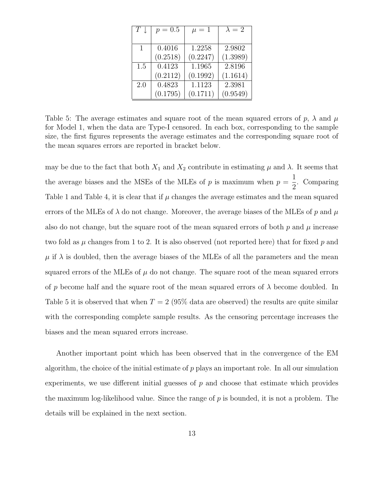| $T \downarrow$ | $p = 0.5$ | $\mu = 1$ | $\lambda=2$ |
|----------------|-----------|-----------|-------------|
|                |           |           |             |
| 1              | 0.4016    | 1.2258    | 2.9802      |
|                | (0.2518)  | (0.2247)  | (1.3989)    |
| 1.5            | 0.4123    | 1.1965    | 2.8196      |
|                | (0.2112)  | (0.1992)  | (1.1614)    |
| 2.0            | 0.4823    | 1.1123    | 2.3981      |
|                | (0.1795)  | (0.1711)  | (0.9549)    |

Table 5: The average estimates and square root of the mean squared errors of p,  $\lambda$  and  $\mu$ for Model 1, when the data are Type-I censored. In each box, corresponding to the sample size, the first figures represents the average estimates and the corresponding square root of the mean squares errors are reported in bracket below.

may be due to the fact that both  $X_1$  and  $X_2$  contribute in estimating  $\mu$  and  $\lambda$ . It seems that the average biases and the MSEs of the MLEs of  $p$  is maximum when  $p =$ 1 2 . Comparing Table 1 and Table 4, it is clear that if  $\mu$  changes the average estimates and the mean squared errors of the MLEs of  $\lambda$  do not change. Moreover, the average biases of the MLEs of p and  $\mu$ also do not change, but the square root of the mean squared errors of both  $p$  and  $\mu$  increase two fold as  $\mu$  changes from 1 to 2. It is also observed (not reported here) that for fixed p and  $\mu$  if  $\lambda$  is doubled, then the average biases of the MLEs of all the parameters and the mean squared errors of the MLEs of  $\mu$  do not change. The square root of the mean squared errors of p become half and the square root of the mean squared errors of  $\lambda$  become doubled. In Table 5 it is observed that when  $T = 2$  (95% data are observed) the results are quite similar with the corresponding complete sample results. As the censoring percentage increases the biases and the mean squared errors increase.

Another important point which has been observed that in the convergence of the EM algorithm, the choice of the initial estimate of  $p$  plays an important role. In all our simulation experiments, we use different initial guesses of  $p$  and choose that estimate which provides the maximum log-likelihood value. Since the range of p is bounded, it is not a problem. The details will be explained in the next section.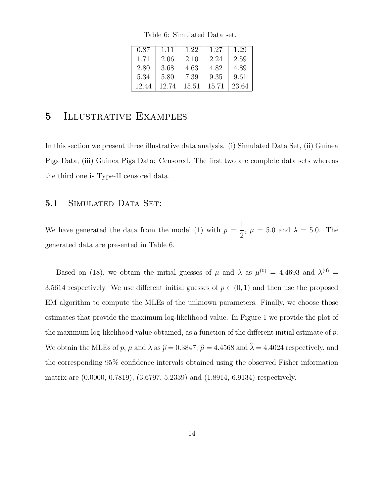Table 6: Simulated Data set.

| 0.87  | 1.11  | 1.22  | 1.27  | 1.29  |
|-------|-------|-------|-------|-------|
| 1.71  | 2.06  | 2.10  | 2.24  | 2.59  |
| 2.80  | 3.68  | 4.63  | 4.82  | 4.89  |
| 5.34  | 5.80  | 7.39  | 9.35  | 9.61  |
| 12.44 | 12.74 | 15.51 | 15.71 | 23.64 |

# 5 Illustrative Examples

In this section we present three illustrative data analysis. (i) Simulated Data Set, (ii) Guinea Pigs Data, (iii) Guinea Pigs Data: Censored. The first two are complete data sets whereas the third one is Type-II censored data.

### 5.1 SIMULATED DATA SET:

We have generated the data from the model (1) with  $p =$ 1 2 ,  $\mu = 5.0$  and  $\lambda = 5.0$ . The generated data are presented in Table 6.

Based on (18), we obtain the initial guesses of  $\mu$  and  $\lambda$  as  $\mu^{(0)} = 4.4693$  and  $\lambda^{(0)} =$ 3.5614 respectively. We use different initial guesses of  $p \in (0,1)$  and then use the proposed EM algorithm to compute the MLEs of the unknown parameters. Finally, we choose those estimates that provide the maximum log-likelihood value. In Figure 1 we provide the plot of the maximum log-likelihood value obtained, as a function of the different initial estimate of p. We obtain the MLEs of p,  $\mu$  and  $\lambda$  as  $\hat{p} = 0.3847$ ,  $\hat{\mu} = 4.4568$  and  $\hat{\lambda} = 4.4024$  respectively, and the corresponding 95% confidence intervals obtained using the observed Fisher information matrix are (0.0000, 0.7819), (3.6797, 5.2339) and (1.8914, 6.9134) respectively.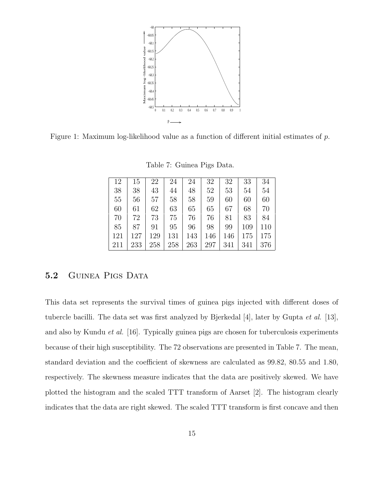

Figure 1: Maximum log-likelihood value as a function of different initial estimates of p.

Table 7: Guinea Pigs Data.

| 12  | 15  | 22  | 24  | 24  | 32  | 32  | 33  | 34  |
|-----|-----|-----|-----|-----|-----|-----|-----|-----|
| 38  | 38  | 43  | 44  | 48  | 52  | 53  | 54  | 54  |
| 55  | 56  | 57  | 58  | 58  | 59  | 60  | 60  | 60  |
| 60  | 61  | 62  | 63  | 65  | 65  | 67  | 68  | 70  |
| 70  | 72  | 73  | 75  | 76  | 76  | 81  | 83  | 84  |
| 85  | 87  | 91  | 95  | 96  | 98  | 99  | 109 | 110 |
| 121 | 127 | 129 | 131 | 143 | 146 | 146 | 175 | 175 |
| 211 | 233 | 258 | 258 | 263 | 297 | 341 | 341 | 376 |

### 5.2 GUINEA PIGS DATA

This data set represents the survival times of guinea pigs injected with different doses of tubercle bacilli. The data set was first analyzed by Bjerkedal [4], later by Gupta et al. [13], and also by Kundu et al. [16]. Typically guinea pigs are chosen for tuberculosis experiments because of their high susceptibility. The 72 observations are presented in Table 7. The mean, standard deviation and the coefficient of skewness are calculated as 99.82, 80.55 and 1.80, respectively. The skewness measure indicates that the data are positively skewed. We have plotted the histogram and the scaled TTT transform of Aarset [2]. The histogram clearly indicates that the data are right skewed. The scaled TTT transform is first concave and then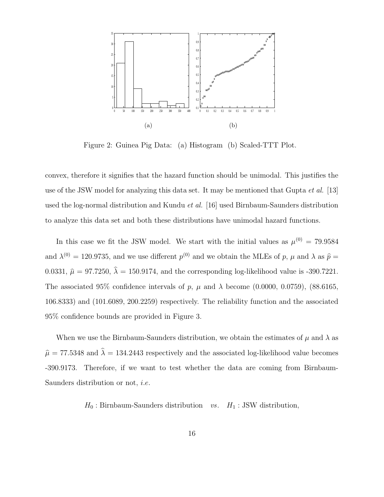

Figure 2: Guinea Pig Data: (a) Histogram (b) Scaled-TTT Plot.

convex, therefore it signifies that the hazard function should be unimodal. This justifies the use of the JSW model for analyzing this data set. It may be mentioned that Gupta  $et al.$  [13] used the log-normal distribution and Kundu et al. [16] used Birnbaum-Saunders distribution to analyze this data set and both these distributions have unimodal hazard functions.

In this case we fit the JSW model. We start with the initial values as  $\mu^{(0)} = 79.9584$ and  $\lambda^{(0)} = 120.9735$ , and we use different  $p^{(0)}$  and we obtain the MLEs of p,  $\mu$  and  $\lambda$  as  $\hat{p} =$ 0.0331,  $\hat{\mu} = 97.7250$ ,  $\hat{\lambda} = 150.9174$ , and the corresponding log-likelihood value is -390.7221. The associated 95% confidence intervals of p,  $\mu$  and  $\lambda$  become (0.0000, 0.0759), (88.6165, 106.8333) and (101.6089, 200.2259) respectively. The reliability function and the associated 95% confidence bounds are provided in Figure 3.

When we use the Birnbaum-Saunders distribution, we obtain the estimates of  $\mu$  and  $\lambda$  as  $\hat{\mu} = 77.5348$  and  $\hat{\lambda} = 134.2443$  respectively and the associated log-likelihood value becomes -390.9173. Therefore, if we want to test whether the data are coming from Birnbaum-Saunders distribution or not, i.e.

 $H_0$ : Birnbaum-Saunders distribution vs.  $H_1$ : JSW distribution,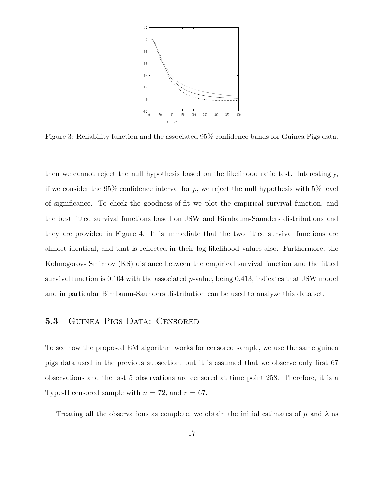

Figure 3: Reliability function and the associated 95% confidence bands for Guinea Pigs data.

then we cannot reject the null hypothesis based on the likelihood ratio test. Interestingly, if we consider the 95% confidence interval for  $p$ , we reject the null hypothesis with 5% level of significance. To check the goodness-of-fit we plot the empirical survival function, and the best fitted survival functions based on JSW and Birnbaum-Saunders distributions and they are provided in Figure 4. It is immediate that the two fitted survival functions are almost identical, and that is reflected in their log-likelihood values also. Furthermore, the Kolmogorov- Smirnov (KS) distance between the empirical survival function and the fitted survival function is 0.104 with the associated  $p$ -value, being 0.413, indicates that JSW model and in particular Birnbaum-Saunders distribution can be used to analyze this data set.

#### 5.3 GUINEA PIGS DATA: CENSORED

To see how the proposed EM algorithm works for censored sample, we use the same guinea pigs data used in the previous subsection, but it is assumed that we observe only first 67 observations and the last 5 observations are censored at time point 258. Therefore, it is a Type-II censored sample with  $n = 72$ , and  $r = 67$ .

Treating all the observations as complete, we obtain the initial estimates of  $\mu$  and  $\lambda$  as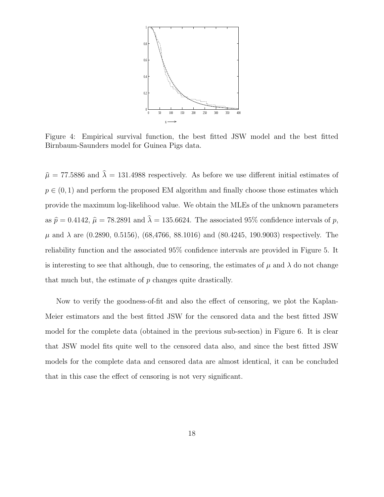

Figure 4: Empirical survival function, the best fitted JSW model and the best fitted Birnbaum-Saunders model for Guinea Pigs data.

 $\hat{\mu} = 77.5886$  and  $\hat{\lambda} = 131.4988$  respectively. As before we use different initial estimates of  $p \in (0, 1)$  and perform the proposed EM algorithm and finally choose those estimates which provide the maximum log-likelihood value. We obtain the MLEs of the unknown parameters as  $\hat{p} = 0.4142$ ,  $\hat{\mu} = 78.2891$  and  $\hat{\lambda} = 135.6624$ . The associated 95% confidence intervals of p,  $\mu$  and  $\lambda$  are (0.2890, 0.5156), (68,4766, 88.1016) and (80.4245, 190.9003) respectively. The reliability function and the associated 95% confidence intervals are provided in Figure 5. It is interesting to see that although, due to censoring, the estimates of  $\mu$  and  $\lambda$  do not change that much but, the estimate of p changes quite drastically.

Now to verify the goodness-of-fit and also the effect of censoring, we plot the Kaplan-Meier estimators and the best fitted JSW for the censored data and the best fitted JSW model for the complete data (obtained in the previous sub-section) in Figure 6. It is clear that JSW model fits quite well to the censored data also, and since the best fitted JSW models for the complete data and censored data are almost identical, it can be concluded that in this case the effect of censoring is not very significant.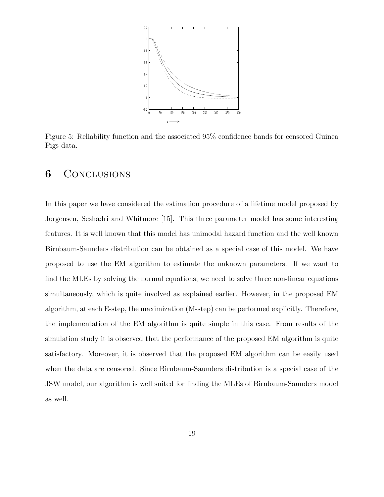

Figure 5: Reliability function and the associated 95% confidence bands for censored Guinea Pigs data.

## **6** CONCLUSIONS

In this paper we have considered the estimation procedure of a lifetime model proposed by Jorgensen, Seshadri and Whitmore [15]. This three parameter model has some interesting features. It is well known that this model has unimodal hazard function and the well known Birnbaum-Saunders distribution can be obtained as a special case of this model. We have proposed to use the EM algorithm to estimate the unknown parameters. If we want to find the MLEs by solving the normal equations, we need to solve three non-linear equations simultaneously, which is quite involved as explained earlier. However, in the proposed EM algorithm, at each E-step, the maximization (M-step) can be performed explicitly. Therefore, the implementation of the EM algorithm is quite simple in this case. From results of the simulation study it is observed that the performance of the proposed EM algorithm is quite satisfactory. Moreover, it is observed that the proposed EM algorithm can be easily used when the data are censored. Since Birnbaum-Saunders distribution is a special case of the JSW model, our algorithm is well suited for finding the MLEs of Birnbaum-Saunders model as well.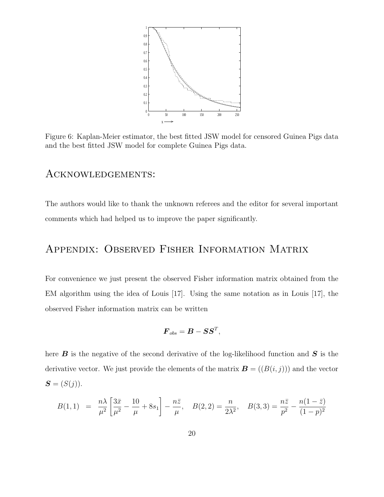

Figure 6: Kaplan-Meier estimator, the best fitted JSW model for censored Guinea Pigs data and the best fitted JSW model for complete Guinea Pigs data.

### Acknowledgements:

The authors would like to thank the unknown referees and the editor for several important comments which had helped us to improve the paper significantly.

# Appendix: Observed Fisher Information Matrix

For convenience we just present the observed Fisher information matrix obtained from the EM algorithm using the idea of Louis [17]. Using the same notation as in Louis [17], the observed Fisher information matrix can be written

$$
\boldsymbol{F}_{obs} = \boldsymbol{B} - \boldsymbol{S}\boldsymbol{S}^T,
$$

here  $\bm{B}$  is the negative of the second derivative of the log-likelihood function and  $\bm{S}$  is the derivative vector. We just provide the elements of the matrix  $\mathbf{B} = ((B(i, j)))$  and the vector  $S = (S(j)).$ 

$$
B(1,1) = \frac{n\lambda}{\mu^2} \left[ \frac{3\bar{x}}{\mu^2} - \frac{10}{\mu} + 8s_1 \right] - \frac{n\bar{z}}{\mu}, \quad B(2,2) = \frac{n}{2\lambda^2}, \quad B(3,3) = \frac{n\bar{z}}{p^2} - \frac{n(1-\bar{z})}{(1-p)^2}
$$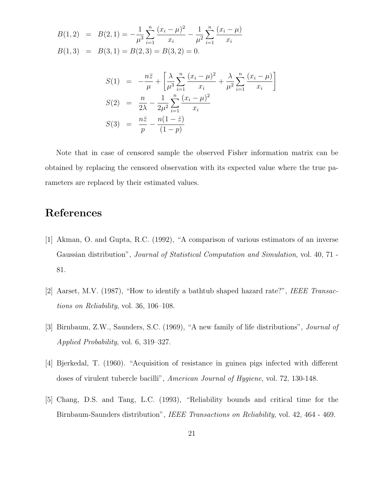$$
B(1,2) = B(2,1) = -\frac{1}{\mu^3} \sum_{i=1}^n \frac{(x_i - \mu)^2}{x_i} - \frac{1}{\mu^2} \sum_{i=1}^n \frac{(x_i - \mu)}{x_i}
$$
  

$$
B(1,3) = B(3,1) = B(2,3) = B(3,2) = 0.
$$

$$
S(1) = -\frac{n\bar{z}}{\mu} + \left[\frac{\lambda}{\mu^3} \sum_{i=1}^n \frac{(x_i - \mu)^2}{x_i} + \frac{\lambda}{\mu^2} \sum_{i=1}^n \frac{(x_i - \mu)}{x_i}\right]
$$
  
\n
$$
S(2) = \frac{n}{2\lambda} - \frac{1}{2\mu^2} \sum_{i=1}^n \frac{(x_i - \mu)^2}{x_i}
$$
  
\n
$$
S(3) = \frac{n\bar{z}}{p} - \frac{n(1 - \bar{z})}{(1 - p)}
$$

Note that in case of censored sample the observed Fisher information matrix can be obtained by replacing the censored observation with its expected value where the true parameters are replaced by their estimated values.

# References

- [1] Akman, O. and Gupta, R.C. (1992), "A comparison of various estimators of an inverse Gaussian distribution", *Journal of Statistical Computation and Simulation*, vol. 40, 71 -81.
- [2] Aarset, M.V. (1987), "How to identify a bathtub shaped hazard rate?", IEEE Transactions on Reliability, vol. 36, 106–108.
- [3] Birnbaum, Z.W., Saunders, S.C. (1969), "A new family of life distributions", Journal of Applied Probability, vol. 6, 319–327.
- [4] Bjerkedal, T. (1960). "Acquisition of resistance in guinea pigs infected with different doses of virulent tubercle bacilli", American Journal of Hygiene, vol. 72, 130-148.
- [5] Chang, D.S. and Tang, L.C. (1993), "Reliability bounds and critical time for the Birnbaum-Saunders distribution", IEEE Transactions on Reliability, vol. 42, 464 - 469.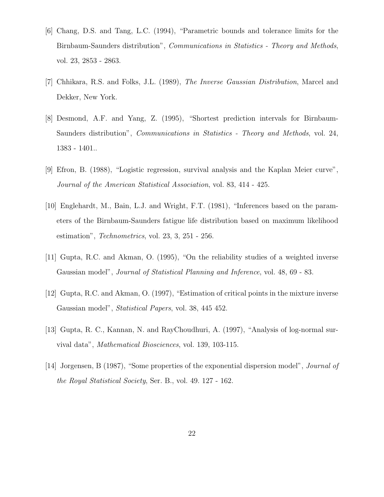- [6] Chang, D.S. and Tang, L.C. (1994), "Parametric bounds and tolerance limits for the Birnbaum-Saunders distribution", Communications in Statistics - Theory and Methods, vol. 23, 2853 - 2863.
- [7] Chhikara, R.S. and Folks, J.L. (1989), The Inverse Gaussian Distribution, Marcel and Dekker, New York.
- [8] Desmond, A.F. and Yang, Z. (1995), "Shortest prediction intervals for Birnbaum-Saunders distribution", Communications in Statistics - Theory and Methods, vol. 24, 1383 - 1401..
- [9] Efron, B. (1988), "Logistic regression, survival analysis and the Kaplan Meier curve", Journal of the American Statistical Association, vol. 83, 414 - 425.
- [10] Englehardt, M., Bain, L.J. and Wright, F.T. (1981), "Inferences based on the parameters of the Birnbaum-Saunders fatigue life distribution based on maximum likelihood estimation", Technometrics, vol. 23, 3, 251 - 256.
- [11] Gupta, R.C. and Akman, O. (1995), "On the reliability studies of a weighted inverse Gaussian model", Journal of Statistical Planning and Inference, vol. 48, 69 - 83.
- [12] Gupta, R.C. and Akman, O. (1997), "Estimation of critical points in the mixture inverse Gaussian model", Statistical Papers, vol. 38, 445 452.
- [13] Gupta, R. C., Kannan, N. and RayChoudhuri, A. (1997), "Analysis of log-normal survival data", Mathematical Biosciences, vol. 139, 103-115.
- [14] Jorgensen, B (1987), "Some properties of the exponential dispersion model", Journal of the Royal Statistical Society, Ser. B., vol. 49. 127 - 162.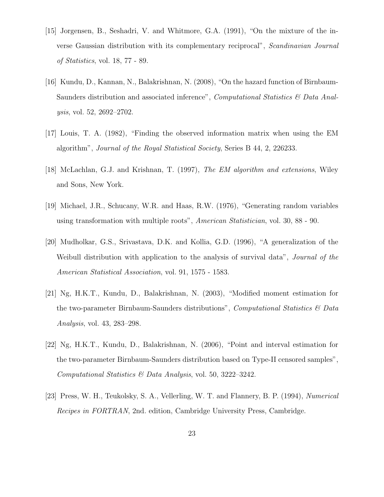- [15] Jorgensen, B., Seshadri, V. and Whitmore, G.A. (1991), "On the mixture of the inverse Gaussian distribution with its complementary reciprocal", Scandinavian Journal of Statistics, vol. 18, 77 - 89.
- [16] Kundu, D., Kannan, N., Balakrishnan, N. (2008), "On the hazard function of Birnbaum-Saunders distribution and associated inference", *Computational Statistics*  $\mathcal{B}$  Data Analysis, vol. 52, 2692–2702.
- [17] Louis, T. A. (1982), "Finding the observed information matrix when using the EM algorithm", Journal of the Royal Statistical Society, Series B 44, 2, 226233.
- [18] McLachlan, G.J. and Krishnan, T. (1997), The EM algorithm and extensions, Wiley and Sons, New York.
- [19] Michael, J.R., Schucany, W.R. and Haas, R.W. (1976), "Generating random variables using transformation with multiple roots", American Statistician, vol. 30, 88 - 90.
- [20] Mudholkar, G.S., Srivastava, D.K. and Kollia, G.D. (1996), "A generalization of the Weibull distribution with application to the analysis of survival data", *Journal of the* American Statistical Association, vol. 91, 1575 - 1583.
- [21] Ng, H.K.T., Kundu, D., Balakrishnan, N. (2003), "Modified moment estimation for the two-parameter Birnbaum-Saunders distributions", *Computational Statistics*  $\mathcal{C}$  Data Analysis, vol. 43, 283–298.
- [22] Ng, H.K.T., Kundu, D., Balakrishnan, N. (2006), "Point and interval estimation for the two-parameter Birnbaum-Saunders distribution based on Type-II censored samples", Computational Statistics & Data Analysis, vol. 50, 3222–3242.
- [23] Press, W. H., Teukolsky, S. A., Vellerling, W. T. and Flannery, B. P. (1994), Numerical Recipes in FORTRAN, 2nd. edition, Cambridge University Press, Cambridge.